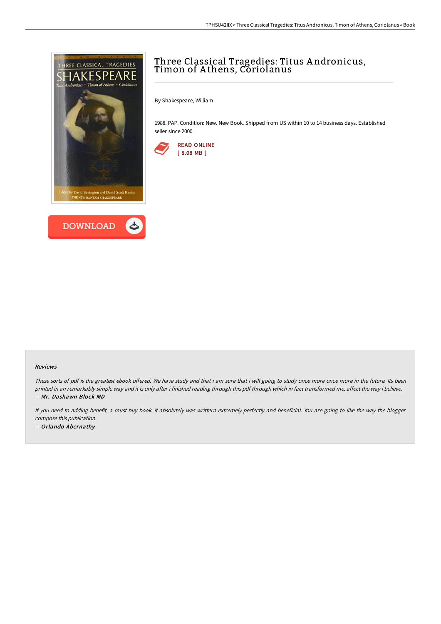



# Three Classical Tragedies: Titus A ndronicus, Timon of A thens, Coriolanus

By Shakespeare, William

1988. PAP. Condition: New. New Book. Shipped from US within 10 to 14 business days. Established seller since 2000.



#### Reviews

These sorts of pdf is the greatest ebook offered. We have study and that i am sure that i will going to study once more once more in the future. Its been printed in an remarkably simple way and it is only after i finished reading through this pdf through which in fact transformed me, affect the way i believe. -- Mr. Dashawn Block MD

If you need to adding benefit, <sup>a</sup> must buy book. it absolutely was writtern extremely perfectly and beneficial. You are going to like the way the blogger compose this publication. -- Orlando Abernathy